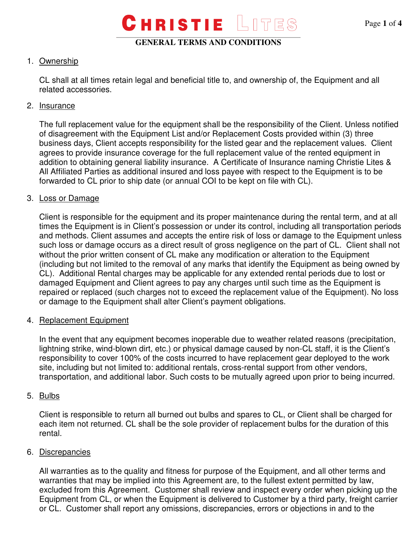## 1. Ownership

CL shall at all times retain legal and beneficial title to, and ownership of, the Equipment and all related accessories.

## 2. Insurance

The full replacement value for the equipment shall be the responsibility of the Client. Unless notified of disagreement with the Equipment List and/or Replacement Costs provided within (3) three business days, Client accepts responsibility for the listed gear and the replacement values. Client agrees to provide insurance coverage for the full replacement value of the rented equipment in addition to obtaining general liability insurance. A Certificate of Insurance naming Christie Lites & All Affiliated Parties as additional insured and loss payee with respect to the Equipment is to be forwarded to CL prior to ship date (or annual COI to be kept on file with CL).

## 3. Loss or Damage

Client is responsible for the equipment and its proper maintenance during the rental term, and at all times the Equipment is in Client's possession or under its control, including all transportation periods and methods. Client assumes and accepts the entire risk of loss or damage to the Equipment unless such loss or damage occurs as a direct result of gross negligence on the part of CL. Client shall not without the prior written consent of CL make any modification or alteration to the Equipment (including but not limited to the removal of any marks that identify the Equipment as being owned by CL). Additional Rental charges may be applicable for any extended rental periods due to lost or damaged Equipment and Client agrees to pay any charges until such time as the Equipment is repaired or replaced (such charges not to exceed the replacement value of the Equipment). No loss or damage to the Equipment shall alter Client's payment obligations.

## 4. Replacement Equipment

In the event that any equipment becomes inoperable due to weather related reasons (precipitation, lightning strike, wind-blown dirt, etc.) or physical damage caused by non-CL staff, it is the Client's responsibility to cover 100% of the costs incurred to have replacement gear deployed to the work site, including but not limited to: additional rentals, cross-rental support from other vendors, transportation, and additional labor. Such costs to be mutually agreed upon prior to being incurred.

## 5. Bulbs

Client is responsible to return all burned out bulbs and spares to CL, or Client shall be charged for each item not returned. CL shall be the sole provider of replacement bulbs for the duration of this rental.

## 6. Discrepancies

All warranties as to the quality and fitness for purpose of the Equipment, and all other terms and warranties that may be implied into this Agreement are, to the fullest extent permitted by law, excluded from this Agreement. Customer shall review and inspect every order when picking up the Equipment from CL, or when the Equipment is delivered to Customer by a third party, freight carrier or CL. Customer shall report any omissions, discrepancies, errors or objections in and to the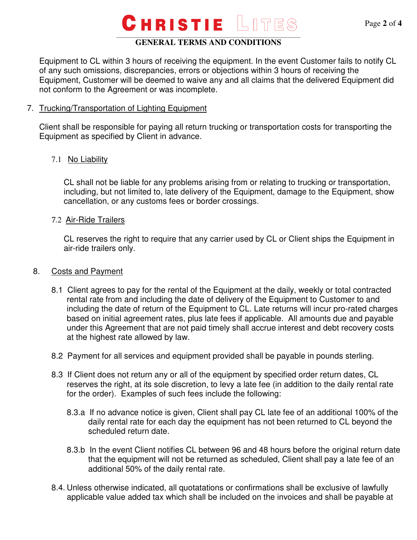### **GENERAL TERMS AND CONDITIONS**

Equipment to CL within 3 hours of receiving the equipment. In the event Customer fails to notify CL of any such omissions, discrepancies, errors or objections within 3 hours of receiving the Equipment, Customer will be deemed to waive any and all claims that the delivered Equipment did not conform to the Agreement or was incomplete.

#### 7. Trucking/Transportation of Lighting Equipment

 Client shall be responsible for paying all return trucking or transportation costs for transporting the Equipment as specified by Client in advance.

### 7.1 No Liability

CL shall not be liable for any problems arising from or relating to trucking or transportation, including, but not limited to, late delivery of the Equipment, damage to the Equipment, show cancellation, or any customs fees or border crossings.

#### 7.2 Air-Ride Trailers

CL reserves the right to require that any carrier used by CL or Client ships the Equipment in air-ride trailers only.

#### 8. Costs and Payment

- 8.1 Client agrees to pay for the rental of the Equipment at the daily, weekly or total contracted rental rate from and including the date of delivery of the Equipment to Customer to and including the date of return of the Equipment to CL. Late returns will incur pro-rated charges based on initial agreement rates, plus late fees if applicable. All amounts due and payable under this Agreement that are not paid timely shall accrue interest and debt recovery costs at the highest rate allowed by law.
- 8.2 Payment for all services and equipment provided shall be payable in pounds sterling.
- 8.3 If Client does not return any or all of the equipment by specified order return dates, CL reserves the right, at its sole discretion, to levy a late fee (in addition to the daily rental rate for the order). Examples of such fees include the following:
	- 8.3.a If no advance notice is given, Client shall pay CL late fee of an additional 100% of the daily rental rate for each day the equipment has not been returned to CL beyond the scheduled return date.
	- 8.3.b In the event Client notifies CL between 96 and 48 hours before the original return date that the equipment will not be returned as scheduled, Client shall pay a late fee of an additional 50% of the daily rental rate.
- 8.4. Unless otherwise indicated, all quotatations or confirmations shall be exclusive of lawfully applicable value added tax which shall be included on the invoices and shall be payable at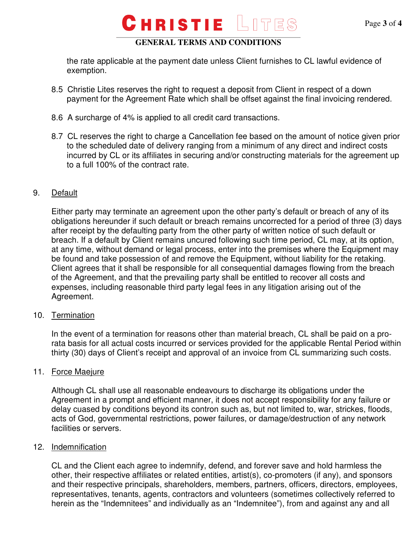### **GENERAL TERMS AND CONDITIONS**

the rate applicable at the payment date unless Client furnishes to CL lawful evidence of exemption.

- 8.5 Christie Lites reserves the right to request a deposit from Client in respect of a down payment for the Agreement Rate which shall be offset against the final invoicing rendered.
- 8.6 A surcharge of 4% is applied to all credit card transactions.
- 8.7 CL reserves the right to charge a Cancellation fee based on the amount of notice given prior to the scheduled date of delivery ranging from a minimum of any direct and indirect costs incurred by CL or its affiliates in securing and/or constructing materials for the agreement up to a full 100% of the contract rate.

### 9. Default

Either party may terminate an agreement upon the other party's default or breach of any of its obligations hereunder if such default or breach remains uncorrected for a period of three (3) days after receipt by the defaulting party from the other party of written notice of such default or breach. If a default by Client remains uncured following such time period, CL may, at its option, at any time, without demand or legal process, enter into the premises where the Equipment may be found and take possession of and remove the Equipment, without liability for the retaking. Client agrees that it shall be responsible for all consequential damages flowing from the breach of the Agreement, and that the prevailing party shall be entitled to recover all costs and expenses, including reasonable third party legal fees in any litigation arising out of the Agreement.

### 10. Termination

In the event of a termination for reasons other than material breach, CL shall be paid on a prorata basis for all actual costs incurred or services provided for the applicable Rental Period within thirty (30) days of Client's receipt and approval of an invoice from CL summarizing such costs.

### 11. Force Maejure

Although CL shall use all reasonable endeavours to discharge its obligations under the Agreement in a prompt and efficient manner, it does not accept responsibility for any failure or delay cuased by conditions beyond its contron such as, but not limited to, war, strickes, floods, acts of God, governmental restrictions, power failures, or damage/destruction of any network facilities or servers.

### 12. Indemnification

CL and the Client each agree to indemnify, defend, and forever save and hold harmless the other, their respective affiliates or related entities, artist(s), co-promoters (if any), and sponsors and their respective principals, shareholders, members, partners, officers, directors, employees, representatives, tenants, agents, contractors and volunteers (sometimes collectively referred to herein as the "Indemnitees" and individually as an "Indemnitee"), from and against any and all